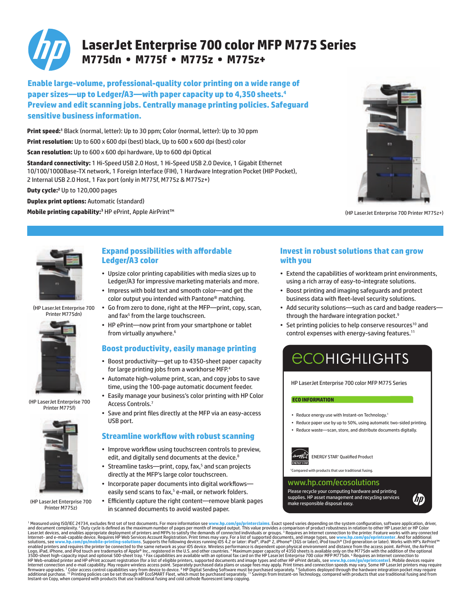

### **LaserJet Enterprise 700 color MFP M775 Series M775dn • M775f • M775z • M775z+**

**Enable large-volume, professional-quality color printing on a wide range of paper sizes—up to Ledger/A3—with paper capacity up to 4,350 sheets.4 Preview and edit scanning jobs. Centrally manage printing policies. Safeguard sensitive business information.**

**Print speed:1** Black (normal, letter): Up to 30 ppm; Color (normal, letter): Up to 30 ppm

**Print resolution:** Up to 600 x 600 dpi (best) black, Up to 600 x 600 dpi (best) color

**Scan resolution:** Up to 600 x 600 dpi hardware, Up to 600 dpi Optical

**Standard connectivity:** 1 Hi-Speed USB 2.0 Host, 1 Hi-Speed USB 2.0 Device, 1 Gigabit Ethernet 10/100/1000Base-TX network, 1 Foreign Interface (FIH), 1 Hardware Integration Pocket (HIP Pocket), 2 Internal USB 2.0 Host, 1 Fax port (only in M775f, M775z & M775z+)

**Duty cycle:2** Up to 120,000 pages

**Duplex print options: Automatic (standard)** 

**Mobile printing capability:<sup>3</sup> HP ePrint**, Apple AirPrint™ (HPLASERTER MODIL ASSERTED MODIL ASSERTED MODILER MODILER MODILER MODILER MODILER MODILER MODILER MODILER MODILER MODILER MODILER MODILER MODILER MODILER MODILER





(HP LaserJet Enterprise 700 Printer M775dn)



(HP LaserJet Enterprise 700 Printer M775f)



(HP LaserJet Enterprise 700 Printer M775z)

### **Expand possibilities with affordable Ledger/A3 color**

- • Upsize color printing capabilities with media sizes up to Ledger/A3 for impressive marketing materials and more.
- • Impress with bold text and smooth color—and get the color output you intended with Pantone® matching.
- • Go from zero to done, right at the MFP—print, copy, scan, and fax<sup>5</sup> from the large touchscreen.
- HP ePrint-now print from your smartphone or tablet from virtually anywhere.<sup>6</sup>

### **Boost productivity, easily manage printing**

- • Boost productivity—get up to 4350-sheet paper capacity for large printing jobs from a workhorse MFP.4
- Automate high-volume print, scan, and copy jobs to save time, using the 100-page automatic document feeder.
- Easily manage your business's color printing with HP Color Access Controls.<sup>7</sup>
- • Save and print files directly at the MFP via an easy-access USB port.

### **Streamline workflow with robust scanning**

- Improve workflow using touchscreen controls to preview, edit, and digitally send documents at the device.<sup>8</sup>
- Streamline tasks—print, copy, fax,<sup>5</sup> and scan projects directly at the MFP's large color touchscreen.
- Incorporate paper documents into digital workflowseasily send scans to fax,<sup>5</sup> e-mail, or network folders.
- Efficiently capture the right content—remove blank pages in scanned documents to avoid wasted paper.

### **Invest in robust solutions that can grow with you**

- • Extend the capabilities of workteam print environments, using a rich array of easy-to-integrate solutions.
- • Boost printing and imaging safeguards and protect business data with fleet-level security solutions.
- Add security solutions-such as card and badge readersthrough the hardware integration pocket.<sup>9</sup>
- Set printing policies to help conserve resources<sup>10</sup> and control expenses with energy-saving features.<sup>11</sup>

# **ECOHIGHLIGHTS**

HP LaserJet Enterprise 700 color MFP M775 Series

#### **ECO INFORMATION**

- Reduce energy use with Instant-on Technology.<sup>1</sup>
- • Reduce paper use by up to 50%, using automatic two-sided printing.
- Reduce waste-scan, store, and distribute documents digitally.



mpared with products that use traditional fusing

#### www.hp.com/ecosolutions

Please recycle your computing hardware and printing supplies. HP asset management and recycling services make responsible disposal easy.



<sup>1</sup> Measured using ISO/IEC 24734, excludes first set of test documents. For more information se **www.hp.com/go/printer-claims**. Exact speed variors depending on the system configuration, doring the Measured using SD/IEC 24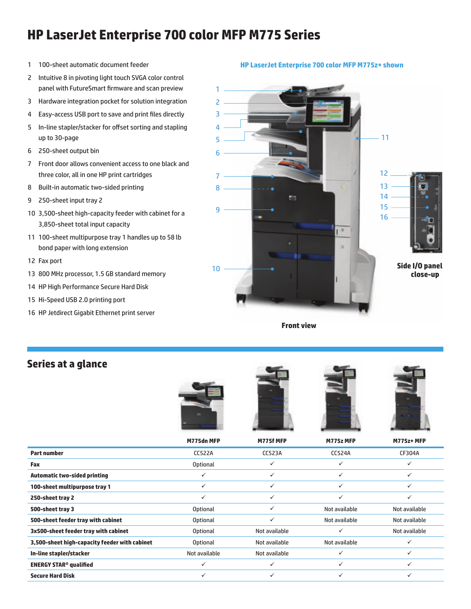## **HP LaserJet Enterprise 700 color MFP M775 Series**

- 1 100-sheet automatic document feeder
- 2 Intuitive 8 in pivoting light touch SVGA color control panel with FutureSmart firmware and scan preview
- 3 Hardware integration pocket for solution integration
- 4 Easy-access USB port to save and print files directly
- 5 In-line stapler/stacker for offset sorting and stapling up to 30-page
- 6 250-sheet output bin
- 7 Front door allows convenient access to one black and three color, all in one HP print cartridges
- 8 Built-in automatic two-sided printing
- 9 250-sheet input tray 2
- 10 3,500-sheet high-capacity feeder with cabinet for a 3,850-sheet total input capacity
- 11 100-sheet multipurpose tray 1 handles up to 58 lb bond paper with long extension
- 12 Fax port
- 13 800 MHz processor, 1.5 GB standard memory
- 14 HP High Performance Secure Hard Disk
- 15 Hi-Speed USB 2.0 printing port
- 16 HP Jetdirect Gigabit Ethernet print server

#### **HP LaserJet Enterprise 700 color MFP M775z+ shown**



**Front view**

### **Series at a glance**









|                                               | M775dn MFP      | M775f MFP     | M775z MFP     | <b>M775z+MFP</b> |
|-----------------------------------------------|-----------------|---------------|---------------|------------------|
| <b>Part number</b>                            | <b>CC522A</b>   | <b>CC523A</b> | <b>CC524A</b> | CF304A           |
| Fax                                           | <b>Optional</b> | ✓             | ✓             |                  |
| <b>Automatic two-sided printing</b>           |                 | ✓             | ✓             | $\checkmark$     |
| 100-sheet multipurpose tray 1                 | ✓               |               | ✓             | $\checkmark$     |
| 250-sheet tray 2                              | ✓               | ✓             | ✓             | $\checkmark$     |
| 500-sheet tray 3                              | <b>Optional</b> | ✓             | Not available | Not available    |
| 500-sheet feeder tray with cabinet            | Optional        |               | Not available | Not available    |
| 3x500-sheet feeder tray with cabinet          | <b>Optional</b> | Not available | $\checkmark$  | Not available    |
| 3,500-sheet high-capacity feeder with cabinet | <b>Optional</b> | Not available | Not available | $\checkmark$     |
| In-line stapler/stacker                       | Not available   | Not available | $\checkmark$  | $\checkmark$     |
| <b>ENERGY STAR<sup>®</sup> qualified</b>      |                 |               | $\checkmark$  | $\checkmark$     |
| <b>Secure Hard Disk</b>                       | ✓               |               | ✓             | $\checkmark$     |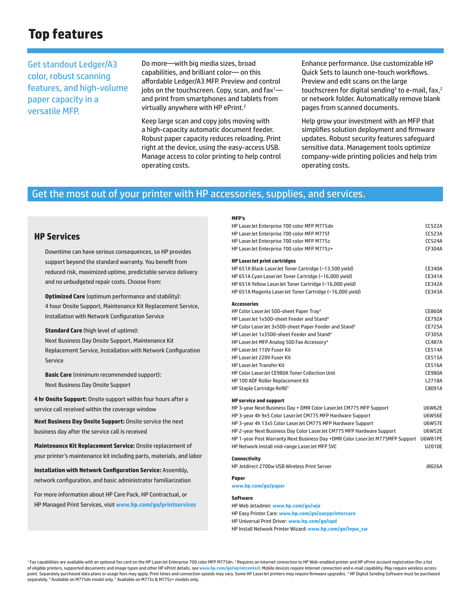### **Top features**

Get standout Ledger/A3 color, robust scanning features, and high-volume paper capacity in a versatile MFP.

Do more—with big media sizes, broad capabilities, and brilliant color— on this affordable Ledger/A3 MFP. Preview and control jobs on the touchscreen. Copy, scan, and  $\mathsf{fax}^1$  and print from smartphones and tablets from virtually anywhere with HP ePrint.2

Keep large scan and copy jobs moving with a high-capacity automatic document feeder. Robust paper capacity reduces reloading. Print right at the device, using the easy-access USB. Manage access to color printing to help control operating costs.

Enhance performance. Use customizable HP Quick Sets to launch one-touch workflows. Preview and edit scans on the large touchscreen for digital sending<sup>3</sup> to e-mail, fax,<sup>2</sup> or network folder. Automatically remove blank pages from scanned documents.

Help grow your investment with an MFP that simplifies solution deployment and firmware updates. Robust security features safeguard sensitive data. Management tools optimize company-wide printing policies and help trim operating costs.

### Get the most out of your printer with HP accessories, supplies, and services.

### **HP Services**

Downtime can have serious consequences, so HP provides support beyond the standard warranty. You benefit from reduced risk, maximized uptime, predictable service delivery and no unbudgeted repair costs. Choose from:

**Optimized Care** (optimum performance and stability): 4 hour Onsite Support, Maintenance Kit Replacement Service, Installation with Network Configuration Service

**Standard Care** (high level of uptime): Next Business Day Onsite Support, Maintenance Kit Replacement Service, Installation with Network Configuration Service

**Basic Care** (minimum recommended support): Next Business Day Onsite Support

**4 hr Onsite Support:** Onsite support within four hours after a service call received within the coverage window

**Next Business Day Onsite Support:** Onsite service the next business day after the service call is received

**Maintenance Kit Replacement Service:** Onsite replacement of your printer's maintenance kit including parts, materials, and labor

**Installation with Network Configuration Service:** Assembly, network configuration, and basic administrator familiarization

For more information about HP Care Pack, HP Contractual, or HP Managed Print Services, visit **www.hp.com/go/printservices**

#### **MFP's**

| HP LaserJet Enterprise 700 color MFP M775dn                                           | <b>CC522A</b> |
|---------------------------------------------------------------------------------------|---------------|
| HP LaserJet Enterprise 700 color MFP M775f                                            | <b>CC523A</b> |
| HP LaserJet Enterprise 700 color MFP M775z                                            | <b>CC524A</b> |
| HP LaserJet Enterprise 700 color MFP M775z+                                           | CF304A        |
| <b>HP LaserJet print cartridges</b>                                                   |               |
| HP 651A Black LaserJet Toner Cartridge (~13,500 yield)                                | <b>CE340A</b> |
| HP 651A Cyan LaserJet Toner Cartridge (~16,000 yield)                                 | <b>CE341A</b> |
| HP 651A Yellow LaserJet Toner Cartridge (~16,000 yield)                               | <b>CE342A</b> |
| HP 651A Magenta LaserJet Toner Cartridge (~16,000 yield)                              | CE343A        |
| <b>Accessories</b>                                                                    |               |
| HP Color LaserJet 500-sheet Paper Tray <sup>4</sup>                                   | <b>CE860A</b> |
| HP LaserJet 1x500-sheet Feeder and Stand <sup>4</sup>                                 | <b>CE792A</b> |
| HP Color LaserJet 3x500-sheet Paper Feeder and Stand <sup>4</sup>                     | <b>CE725A</b> |
| HP LaserJet 1x3500-sheet Feeder and Stand <sup>4</sup>                                | CF305A        |
| HP LaserJet MFP Analog 500 Fax Accessory <sup>4</sup>                                 | <b>CC487A</b> |
| <b>HP LaserJet 110V Fuser Kit</b>                                                     | <b>CE514A</b> |
| <b>HP LaserJet 220V Fuser Kit</b>                                                     | <b>CE515A</b> |
| <b>HP LaserJet Transfer Kit</b>                                                       | <b>CE516A</b> |
| <b>HP Color LaserJet CE980A Toner Collection Unit</b>                                 | <b>CE980A</b> |
| HP 100 ADF Roller Replacement Kit                                                     | L2718A        |
| HP Staple Cartridge Refill <sup>5</sup>                                               | C8091A        |
| <b>HP service and support</b>                                                         |               |
| HP 3-year Next Business Day + DMR Color LaserJet CM775 MFP Support                    | <b>U6W62E</b> |
| HP 3-year 4h 9x5 Color LaserJet CM775 MFP Hardware Support                            | <b>U6W56E</b> |
| HP 3-year 4h 13x5 Color LaserJet CM775 MFP Hardware Support                           | <b>U6W57E</b> |
| HP 2-year Next Business Day Color LaserJet CM775 MFP Hardware Support                 | <b>U6W52E</b> |
| HP 1-year Post Warranty Next Business Day +DMR Color LaserJet M775MFP Support U6W81PE |               |
| HP Network Install mid-range LaserJet MFP SVC                                         | <b>U2010E</b> |
| <b>Connectivity</b>                                                                   |               |
| HP Jetdirect 2700w USB Wireless Print Server                                          | J8026A        |
| Paper                                                                                 |               |
| www.hp.com/go/paper                                                                   |               |
| <b>Software</b>                                                                       |               |
| HP Web Jetadmin: www.hp.com/go/wja                                                    |               |
| HP Easy Printer Care: www.hp.com/go/easyprintercare                                   |               |
| HP Universal Print Driver: www.hp.com/go/upd                                          |               |

HP Install Network Printer Wizard: **www.hp.com/go/inpw\_sw**

<sup>1</sup> Fax capabilities are available with an optional fax card on the HP LaserJet Enterprise 700 color MFP M775dn. <sup>2</sup> Requires an Internet connection to HP Web-enabled printer and HP ePrint account registration (for a list of eligible printers, supported documents and image types and other HP ePrint details, see **www.hp.com/go/eprintcenter**). Mobile devices require Internet connection and e-mail capability. May require wireless access point. Separately purchased data plans or usage fees may apply. Print times and connection speeds may vary. Some HP LaserJet printers may require firmware upgrades.<sup>3</sup> HP Digital Sending Software must be purchased separately. <sup>4</sup> Available on M775dn model only. <sup>5</sup> Available on M775z & M775z+ models only.